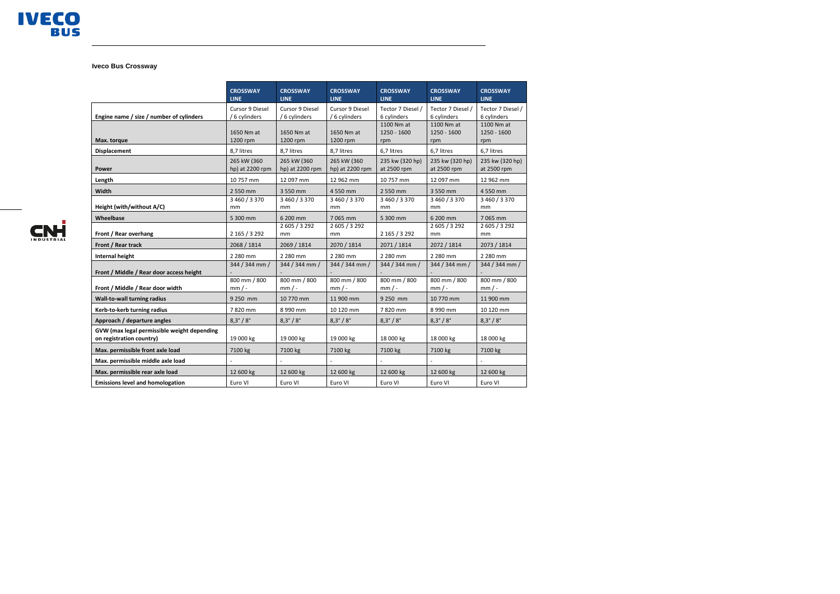

## **Iveco Bus Crossway**

|                                                                         | <b>CROSSWAY</b><br><b>LINE</b>   | <b>CROSSWAY</b><br><b>LINE</b>   | <b>CROSSWAY</b><br><b>LINE</b>   | <b>CROSSWAY</b><br><b>LINE</b>   | <b>CROSSWAY</b><br><b>LINE</b>   | <b>CROSSWAY</b><br><b>LINE</b>     |
|-------------------------------------------------------------------------|----------------------------------|----------------------------------|----------------------------------|----------------------------------|----------------------------------|------------------------------------|
| Engine name / size / number of cylinders                                | Cursor 9 Diesel<br>/ 6 cylinders | Cursor 9 Diesel<br>/ 6 cylinders | Cursor 9 Diesel<br>/ 6 cylinders | Tector 7 Diesel /<br>6 cylinders | Tector 7 Diesel /<br>6 cylinders | Tector 7 Diesel /<br>6 cylinders   |
| Max. torque                                                             | 1650 Nm at<br>1200 rpm           | 1650 Nm at<br>1200 rpm           | 1650 Nm at<br>1200 rpm           | 1100 Nm at<br>1250 - 1600<br>rpm | 1100 Nm at<br>1250 - 1600<br>rpm | 1100 Nm at<br>$1250 - 1600$<br>rpm |
| <b>Displacement</b>                                                     | 8,7 litres                       | 8,7 litres                       | 8,7 litres                       | 6,7 litres                       | 6,7 litres                       | 6,7 litres                         |
| Power                                                                   | 265 kW (360<br>hp) at 2200 rpm   | 265 kW (360<br>hp) at 2200 rpm   | 265 kW (360<br>hp) at 2200 rpm   | 235 kw (320 hp)<br>at 2500 rpm   | 235 kw (320 hp)<br>at 2500 rpm   | 235 kw (320 hp)<br>at 2500 rpm     |
| Length                                                                  | 10 757 mm                        | 12 097 mm                        | 12 962 mm                        | 10 757 mm                        | 12 097 mm                        | 12 962 mm                          |
| Width                                                                   | 2 550 mm                         | 3 550 mm                         | 4 550 mm                         | 2 550 mm                         | 3 550 mm                         | 4 550 mm                           |
| Height (with/without A/C)                                               | 3 460 / 3 370<br>mm              | 3 460 / 3 370<br>mm              | 3 460 / 3 370<br>mm              | 3 460 / 3 370<br>mm              | 3 460 / 3 370<br>mm              | 3 460 / 3 370<br>mm                |
| Wheelbase                                                               | 5 300 mm                         | 6 200 mm                         | 7 065 mm                         | 5 300 mm                         | 6 200 mm                         | 7065 mm                            |
| Front / Rear overhang                                                   | 2 165 / 3 292                    | 2 605 / 3 292<br>mm              | 2 605 / 3 292<br>mm              | 2 165 / 3 292                    | 2 605 / 3 292<br>mm              | 2 605 / 3 292<br>mm                |
| Front / Rear track                                                      | 2068 / 1814                      | 2069 / 1814                      | 2070 / 1814                      | 2071 / 1814                      | 2072 / 1814                      | 2073 / 1814                        |
| <b>Internal height</b>                                                  | 2 280 mm                         | 2 280 mm                         | 2 280 mm                         | 2 280 mm                         | 2 280 mm                         | 2 280 mm                           |
| Front / Middle / Rear door access height                                | 344 / 344 mm /                   | 344 / 344 mm /                   | 344 / 344 mm /                   | 344 / 344 mm /                   | 344 / 344 mm /                   | 344 / 344 mm /                     |
| Front / Middle / Rear door width                                        | 800 mm / 800<br>$mm/$ -          | 800 mm / 800<br>$mm/$ -          | 800 mm / 800<br>$mm/$ -          | 800 mm / 800<br>$mm/$ -          | 800 mm / 800<br>$mm/$ -          | 800 mm / 800<br>$mm/$ -            |
| Wall-to-wall turning radius                                             | 9 250 mm                         | 10 770 mm                        | 11 900 mm                        | 9 250 mm                         | 10 770 mm                        | 11 900 mm                          |
| Kerb-to-kerb turning radius                                             | 7820 mm                          | 8 990 mm                         | 10 120 mm                        | 7820 mm                          | 8 990 mm                         | 10 120 mm                          |
| Approach / departure angles                                             | $8,3^{\circ}/8^{\circ}$          | $8,3^{\circ}/8^{\circ}$          | $8,3^{\circ}/8^{\circ}$          | $8,3^{\circ}/8^{\circ}$          | $8,3^{\circ}/8^{\circ}$          | $8,3^{\circ}/8^{\circ}$            |
| GVW (max legal permissible weight depending<br>on registration country) | 19 000 kg                        | 19 000 kg                        | 19 000 kg                        | 18 000 kg                        | 18 000 kg                        | 18 000 kg                          |
| Max. permissible front axle load                                        | 7100 kg                          | 7100 kg                          | 7100 kg                          | 7100 kg                          | 7100 kg                          | 7100 kg                            |
| Max. permissible middle axle load                                       |                                  |                                  |                                  |                                  |                                  |                                    |
| Max. permissible rear axle load                                         | 12 600 kg                        | 12 600 kg                        | 12 600 kg                        | 12 600 kg                        | 12 600 kg                        | 12 600 kg                          |
| <b>Emissions level and homologation</b>                                 | Euro VI                          | Euro VI                          | Euro VI                          | Euro VI                          | Euro VI                          | Euro VI                            |